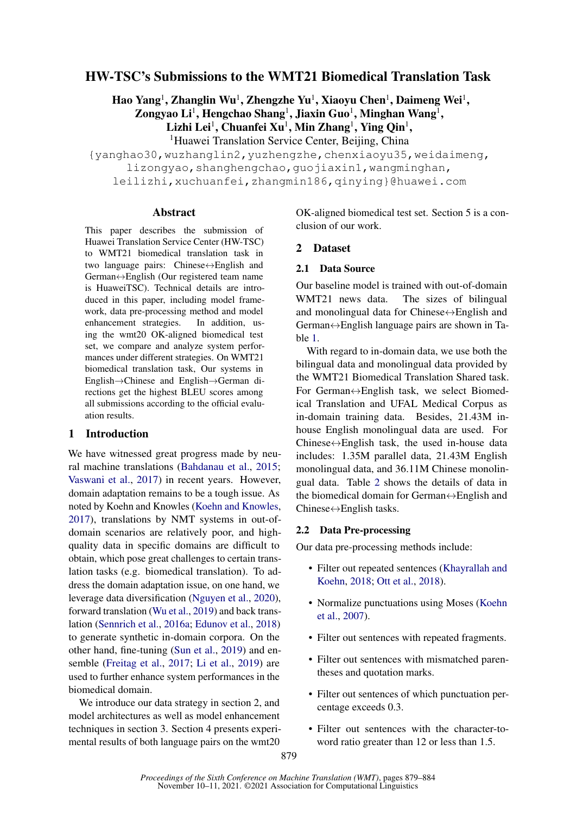# HW-TSC's Submissions to the WMT21 Biomedical Translation Task

Hao Yang<sup>1</sup>, Zhanglin Wu<sup>1</sup>, Zhengzhe Yu<sup>1</sup>, Xiaoyu Chen<sup>1</sup>, Daimeng Wei<sup>1</sup>,

Zongyao Li<sup>1</sup>, Hengchao Shang<sup>1</sup>, Jiaxin Guo<sup>1</sup>, Minghan Wang<sup>1</sup>,

Lizhi Lei $^1$ , Chuanfei Xu $^1$ , Min Zhang $^1$ , Ying Qin $^1$ ,

<sup>1</sup>Huawei Translation Service Center, Beijing, China

{yanghao30,wuzhanglin2,yuzhengzhe,chenxiaoyu35,weidaimeng, lizongyao, shanghengchao, guojiaxin1, wangminghan,

leilizhi,xuchuanfei,zhangmin186,qinying}@huawei.com

### Abstract

This paper describes the submission of Huawei Translation Service Center (HW-TSC) to WMT21 biomedical translation task in two language pairs: Chinese↔English and German↔English (Our registered team name is HuaweiTSC). Technical details are introduced in this paper, including model framework, data pre-processing method and model enhancement strategies. In addition, using the wmt20 OK-aligned biomedical test set, we compare and analyze system performances under different strategies. On WMT21 biomedical translation task, Our systems in English→Chinese and English→German directions get the highest BLEU scores among all submissions according to the official evaluation results.

# 1 Introduction

We have witnessed great progress made by neural machine translations [\(Bahdanau et al.,](#page-4-0) [2015;](#page-4-0) [Vaswani et al.,](#page-5-0) [2017\)](#page-5-0) in recent years. However, domain adaptation remains to be a tough issue. As noted by Koehn and Knowles [\(Koehn and Knowles,](#page-4-1) [2017\)](#page-4-1), translations by NMT systems in out-ofdomain scenarios are relatively poor, and highquality data in specific domains are difficult to obtain, which pose great challenges to certain translation tasks (e.g. biomedical translation). To address the domain adaptation issue, on one hand, we leverage data diversification [\(Nguyen et al.,](#page-5-1) [2020\)](#page-5-1), forward translation [\(Wu et al.,](#page-5-2) [2019\)](#page-5-2) and back translation [\(Sennrich et al.,](#page-5-3) [2016a;](#page-5-3) [Edunov et al.,](#page-4-2) [2018\)](#page-4-2) to generate synthetic in-domain corpora. On the other hand, fine-tuning [\(Sun et al.,](#page-5-4) [2019\)](#page-5-4) and ensemble [\(Freitag et al.,](#page-4-3) [2017;](#page-4-3) [Li et al.,](#page-4-4) [2019\)](#page-4-4) are used to further enhance system performances in the biomedical domain.

We introduce our data strategy in section 2, and model architectures as well as model enhancement techniques in section 3. Section 4 presents experimental results of both language pairs on the wmt20

OK-aligned biomedical test set. Section 5 is a conclusion of our work.

# 2 Dataset

# 2.1 Data Source

Our baseline model is trained with out-of-domain WMT21 news data. The sizes of bilingual and monolingual data for Chinese↔English and German↔English language pairs are shown in Table [1.](#page-1-0)

With regard to in-domain data, we use both the bilingual data and monolingual data provided by the WMT21 Biomedical Translation Shared task. For German↔English task, we select Biomedical Translation and UFAL Medical Corpus as in-domain training data. Besides, 21.43M inhouse English monolingual data are used. For Chinese $\leftrightarrow$ English task, the used in-house data includes: 1.35M parallel data, 21.43M English monolingual data, and 36.11M Chinese monolingual data. Table [2](#page-1-1) shows the details of data in the biomedical domain for German $\leftrightarrow$ English and Chinese↔English tasks.

# 2.2 Data Pre-processing

Our data pre-processing methods include:

- Filter out repeated sentences [\(Khayrallah and](#page-4-5) [Koehn,](#page-4-5) [2018;](#page-4-5) [Ott et al.,](#page-5-5) [2018\)](#page-5-5).
- Normalize punctuations using Moses [\(Koehn](#page-4-6) [et al.,](#page-4-6) [2007\)](#page-4-6).
- Filter out sentences with repeated fragments.
- Filter out sentences with mismatched parentheses and quotation marks.
- Filter out sentences of which punctuation percentage exceeds 0.3.
- Filter out sentences with the character-toword ratio greater than 12 or less than 1.5.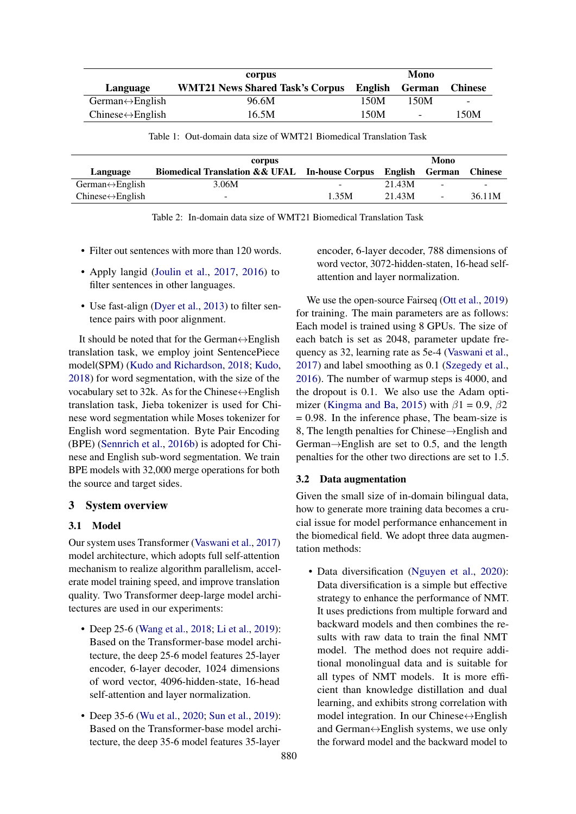<span id="page-1-0"></span>

|                                   | corpus                                 | Mono    |                          |                          |
|-----------------------------------|----------------------------------------|---------|--------------------------|--------------------------|
| Language                          | <b>WMT21 News Shared Task's Corpus</b> | English | German                   | <b>Chinese</b>           |
| German $\leftrightarrow$ English  | 96.6M                                  | 150M    | 150M                     | $\overline{\phantom{0}}$ |
| $Chinese \leftrightarrow English$ | 16.5M                                  | 150M    | $\overline{\phantom{a}}$ | 150M                     |

Table 1: Out-domain data size of WMT21 Biomedical Translation Task

<span id="page-1-1"></span>

|                                   | corpus                                                         | Mono  |         |                          |                |
|-----------------------------------|----------------------------------------------------------------|-------|---------|--------------------------|----------------|
| Language                          | <b>Biomedical Translation &amp; &amp; UFAL</b> In-house Corpus |       | English | German                   | <b>Chinese</b> |
| $German \leftrightarrow English$  | 3.06M                                                          | -     | 21.43M  | $\overline{\phantom{0}}$ | -              |
| $Chinese \leftrightarrow English$ | $\overline{\phantom{0}}$                                       | 1.35M | 21.43M  | $\sim$                   | 36.11M         |

| Table 2: In-domain data size of WMT21 Biomedical Translation Task |  |  |  |  |  |  |  |
|-------------------------------------------------------------------|--|--|--|--|--|--|--|
|-------------------------------------------------------------------|--|--|--|--|--|--|--|

- Filter out sentences with more than 120 words.
- Apply langid [\(Joulin et al.,](#page-4-7) [2017,](#page-4-7) [2016\)](#page-4-8) to filter sentences in other languages.
- Use fast-align [\(Dyer et al.,](#page-4-9) [2013\)](#page-4-9) to filter sentence pairs with poor alignment.

It should be noted that for the German $\leftrightarrow$ English translation task, we employ joint SentencePiece model(SPM) [\(Kudo and Richardson,](#page-4-10) [2018;](#page-4-10) [Kudo,](#page-4-11) [2018\)](#page-4-11) for word segmentation, with the size of the vocabulary set to 32k. As for the Chinese $\leftrightarrow$ English translation task, Jieba tokenizer is used for Chinese word segmentation while Moses tokenizer for English word segmentation. Byte Pair Encoding (BPE) [\(Sennrich et al.,](#page-5-6) [2016b\)](#page-5-6) is adopted for Chinese and English sub-word segmentation. We train BPE models with 32,000 merge operations for both the source and target sides.

# 3 System overview

# 3.1 Model

Our system uses Transformer [\(Vaswani et al.,](#page-5-0) [2017\)](#page-5-0) model architecture, which adopts full self-attention mechanism to realize algorithm parallelism, accelerate model training speed, and improve translation quality. Two Transformer deep-large model architectures are used in our experiments:

- Deep 25-6 [\(Wang et al.,](#page-5-7) [2018;](#page-5-7) [Li et al.,](#page-4-4) [2019\)](#page-4-4): Based on the Transformer-base model architecture, the deep 25-6 model features 25-layer encoder, 6-layer decoder, 1024 dimensions of word vector, 4096-hidden-state, 16-head self-attention and layer normalization.
- Deep 35-6 [\(Wu et al.,](#page-5-8) [2020;](#page-5-8) [Sun et al.,](#page-5-4) [2019\)](#page-5-4): Based on the Transformer-base model architecture, the deep 35-6 model features 35-layer

encoder, 6-layer decoder, 788 dimensions of word vector, 3072-hidden-staten, 16-head selfattention and layer normalization.

We use the open-source Fairseq [\(Ott et al.,](#page-5-9) [2019\)](#page-5-9) for training. The main parameters are as follows: Each model is trained using 8 GPUs. The size of each batch is set as 2048, parameter update frequency as 32, learning rate as 5e-4 [\(Vaswani et al.,](#page-5-0) [2017\)](#page-5-0) and label smoothing as 0.1 [\(Szegedy et al.,](#page-5-10) [2016\)](#page-5-10). The number of warmup steps is 4000, and the dropout is 0.1. We also use the Adam opti-mizer [\(Kingma and Ba,](#page-4-12) [2015\)](#page-4-12) with  $\beta$ 1 = 0.9,  $\beta$ 2  $= 0.98$ . In the inference phase, The beam-size is 8, The length penalties for Chinese→English and German→English are set to 0.5, and the length penalties for the other two directions are set to 1.5.

#### 3.2 Data augmentation

Given the small size of in-domain bilingual data, how to generate more training data becomes a crucial issue for model performance enhancement in the biomedical field. We adopt three data augmentation methods:

• Data diversification [\(Nguyen et al.,](#page-5-1) [2020\)](#page-5-1): Data diversification is a simple but effective strategy to enhance the performance of NMT. It uses predictions from multiple forward and backward models and then combines the results with raw data to train the final NMT model. The method does not require additional monolingual data and is suitable for all types of NMT models. It is more efficient than knowledge distillation and dual learning, and exhibits strong correlation with model integration. In our Chinese↔English and German↔English systems, we use only the forward model and the backward model to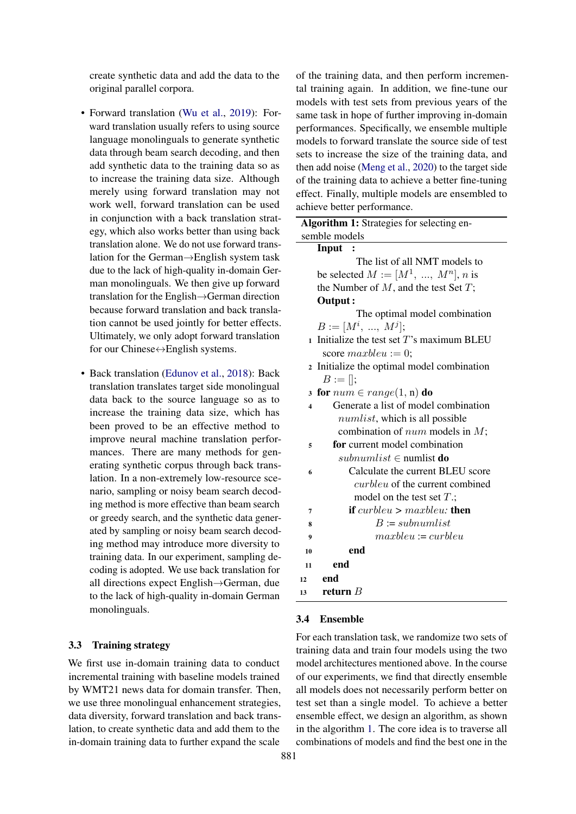create synthetic data and add the data to the original parallel corpora.

- Forward translation [\(Wu et al.,](#page-5-2) [2019\)](#page-5-2): Forward translation usually refers to using source language monolinguals to generate synthetic data through beam search decoding, and then add synthetic data to the training data so as to increase the training data size. Although merely using forward translation may not work well, forward translation can be used in conjunction with a back translation strategy, which also works better than using back translation alone. We do not use forward translation for the German→English system task due to the lack of high-quality in-domain German monolinguals. We then give up forward translation for the English→German direction because forward translation and back translation cannot be used jointly for better effects. Ultimately, we only adopt forward translation for our Chinese↔English systems.
- Back translation [\(Edunov et al.,](#page-4-2) [2018\)](#page-4-2): Back translation translates target side monolingual data back to the source language so as to increase the training data size, which has been proved to be an effective method to improve neural machine translation performances. There are many methods for generating synthetic corpus through back translation. In a non-extremely low-resource scenario, sampling or noisy beam search decoding method is more effective than beam search or greedy search, and the synthetic data generated by sampling or noisy beam search decoding method may introduce more diversity to training data. In our experiment, sampling decoding is adopted. We use back translation for all directions expect English→German, due to the lack of high-quality in-domain German monolinguals.

### 3.3 Training strategy

We first use in-domain training data to conduct incremental training with baseline models trained by WMT21 news data for domain transfer. Then, we use three monolingual enhancement strategies, data diversity, forward translation and back translation, to create synthetic data and add them to the in-domain training data to further expand the scale

of the training data, and then perform incremental training again. In addition, we fine-tune our models with test sets from previous years of the same task in hope of further improving in-domain performances. Specifically, we ensemble multiple models to forward translate the source side of test sets to increase the size of the training data, and then add noise [\(Meng et al.,](#page-5-11) [2020\)](#page-5-11) to the target side of the training data to achieve a better fine-tuning effect. Finally, multiple models are ensembled to achieve better performance.

<span id="page-2-0"></span>

| Algorithm 1: Strategies for selecting en-                   |
|-------------------------------------------------------------|
| semble models                                               |
| Input :                                                     |
| The list of all NMT models to                               |
| be selected $M := [M^1, , M^n], n$ is                       |
| the Number of $M$ , and the test Set $T$ ;                  |
| Output:                                                     |
| The optimal model combination                               |
| $B := [M^i, , M^j];$                                        |
| Initialize the test set $T$ 's maximum BLEU<br>$\mathbf{1}$ |
| score $maxbleu := 0$ ;                                      |
| Initialize the optimal model combination<br>$\overline{2}$  |
| $B := []$ ;                                                 |
| for $num \in range(1, n)$ do<br>$\overline{\mathbf{3}}$     |
| Generate a list of model combination<br>4                   |
| <i>numlist</i> , which is all possible                      |
| combination of $num$ models in $M$ ;                        |
| for current model combination<br>5                          |
| <i>subnumlist</i> $\in$ numlist <b>do</b>                   |
| Calculate the current BLEU score<br>6                       |
| <i>curbleu</i> of the current combined                      |
| model on the test set $T$ .;                                |
| <b>if</b> curbleu $>$ maxbleu: <b>then</b><br>7             |
| $B := subnumlist$<br>8                                      |
| $maxbleu := curbleu$<br>9                                   |
| end<br>10                                                   |
| end<br>11                                                   |
| end<br>12                                                   |
| return $B$<br>13                                            |

# 3.4 Ensemble

For each translation task, we randomize two sets of training data and train four models using the two model architectures mentioned above. In the course of our experiments, we find that directly ensemble all models does not necessarily perform better on test set than a single model. To achieve a better ensemble effect, we design an algorithm, as shown in the algorithm [1.](#page-2-0) The core idea is to traverse all combinations of models and find the best one in the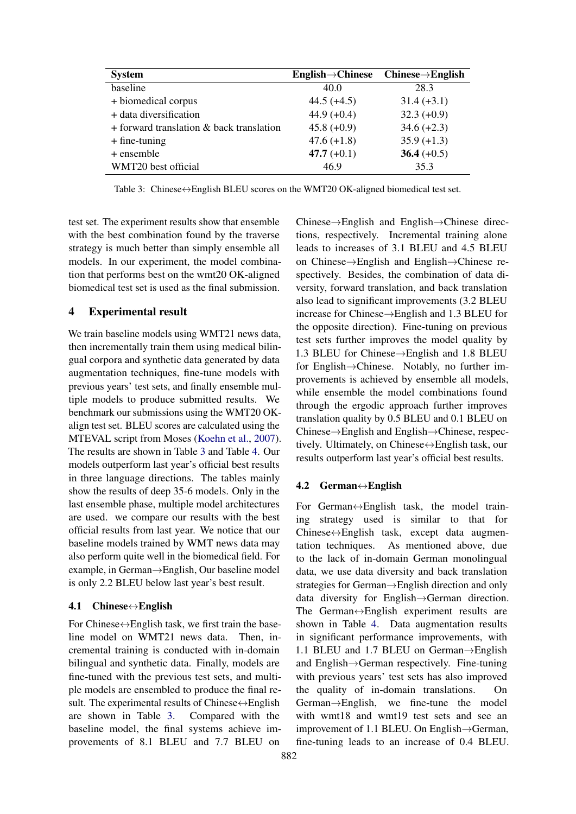<span id="page-3-0"></span>

| <b>System</b>                                 | $English \rightarrow Chinese$ | $Chinese \rightarrow English$ |
|-----------------------------------------------|-------------------------------|-------------------------------|
| baseline                                      | 40.0                          | 28.3                          |
| + biomedical corpus                           | $44.5 (+4.5)$                 | $31.4 (+3.1)$                 |
| + data diversification                        | $44.9 (+0.4)$                 | $32.3 (+0.9)$                 |
| $+$ forward translation $\&$ back translation | $45.8 (+0.9)$                 | $34.6 (+2.3)$                 |
| $+$ fine-tuning                               | $47.6 (+1.8)$                 | $35.9 (+1.3)$                 |
| + ensemble                                    | 47.7 $(+0.1)$                 | 36.4 $(+0.5)$                 |
| WMT20 best official                           | 46.9                          | 35.3                          |

Table 3: Chinese↔English BLEU scores on the WMT20 OK-aligned biomedical test set.

test set. The experiment results show that ensemble with the best combination found by the traverse strategy is much better than simply ensemble all models. In our experiment, the model combination that performs best on the wmt20 OK-aligned biomedical test set is used as the final submission.

# 4 Experimental result

We train baseline models using WMT21 news data, then incrementally train them using medical bilingual corpora and synthetic data generated by data augmentation techniques, fine-tune models with previous years' test sets, and finally ensemble multiple models to produce submitted results. We benchmark our submissions using the WMT20 OKalign test set. BLEU scores are calculated using the MTEVAL script from Moses [\(Koehn et al.,](#page-4-6) [2007\)](#page-4-6). The results are shown in Table [3](#page-3-0) and Table [4.](#page-4-13) Our models outperform last year's official best results in three language directions. The tables mainly show the results of deep 35-6 models. Only in the last ensemble phase, multiple model architectures are used. we compare our results with the best official results from last year. We notice that our baseline models trained by WMT news data may also perform quite well in the biomedical field. For example, in German→English, Our baseline model is only 2.2 BLEU below last year's best result.

#### 4.1 Chinese $\leftrightarrow$ English

For Chinese $\leftrightarrow$ English task, we first train the baseline model on WMT21 news data. Then, incremental training is conducted with in-domain bilingual and synthetic data. Finally, models are fine-tuned with the previous test sets, and multiple models are ensembled to produce the final result. The experimental results of Chinese⇔English are shown in Table [3.](#page-3-0) Compared with the baseline model, the final systems achieve improvements of 8.1 BLEU and 7.7 BLEU on

Chinese→English and English→Chinese directions, respectively. Incremental training alone leads to increases of 3.1 BLEU and 4.5 BLEU on Chinese→English and English→Chinese respectively. Besides, the combination of data diversity, forward translation, and back translation also lead to significant improvements (3.2 BLEU increase for Chinese→English and 1.3 BLEU for the opposite direction). Fine-tuning on previous test sets further improves the model quality by 1.3 BLEU for Chinese→English and 1.8 BLEU for English→Chinese. Notably, no further improvements is achieved by ensemble all models, while ensemble the model combinations found through the ergodic approach further improves translation quality by 0.5 BLEU and 0.1 BLEU on Chinese→English and English→Chinese, respectively. Ultimately, on Chinese↔English task, our results outperform last year's official best results.

### 4.2 German↔English

For German↔English task, the model training strategy used is similar to that for Chinese↔English task, except data augmentation techniques. As mentioned above, due to the lack of in-domain German monolingual data, we use data diversity and back translation strategies for German→English direction and only data diversity for English→German direction. The German↔English experiment results are shown in Table [4.](#page-4-13) Data augmentation results in significant performance improvements, with 1.1 BLEU and 1.7 BLEU on German→English and English→German respectively. Fine-tuning with previous years' test sets has also improved the quality of in-domain translations. On German→English, we fine-tune the model with wmt18 and wmt19 test sets and see an improvement of 1.1 BLEU. On English→German, fine-tuning leads to an increase of 0.4 BLEU.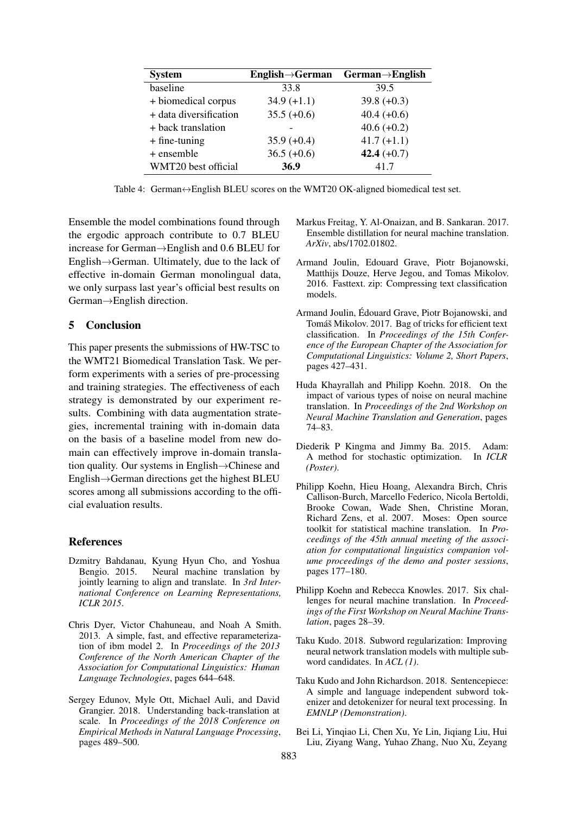<span id="page-4-13"></span>

| <b>System</b>          | $English \rightarrow German$ | $German \rightarrow English$ |
|------------------------|------------------------------|------------------------------|
| baseline               | 33.8                         | 39.5                         |
| + biomedical corpus    | $34.9 (+1.1)$                | $39.8 (+0.3)$                |
| + data diversification | $35.5 (+0.6)$                | $40.4 (+0.6)$                |
| + back translation     |                              | $40.6 (+0.2)$                |
| $+$ fine-tuning        | $35.9 (+0.4)$                | $41.7 (+1.1)$                |
| + ensemble             | $36.5 (+0.6)$                | 42.4 $(+0.7)$                |
| WMT20 best official    | 36.9                         | 41.7                         |

Table 4: German↔English BLEU scores on the WMT20 OK-aligned biomedical test set.

Ensemble the model combinations found through the ergodic approach contribute to 0.7 BLEU increase for German→English and 0.6 BLEU for English→German. Ultimately, due to the lack of effective in-domain German monolingual data, we only surpass last year's official best results on German→English direction.

# 5 Conclusion

This paper presents the submissions of HW-TSC to the WMT21 Biomedical Translation Task. We perform experiments with a series of pre-processing and training strategies. The effectiveness of each strategy is demonstrated by our experiment results. Combining with data augmentation strategies, incremental training with in-domain data on the basis of a baseline model from new domain can effectively improve in-domain translation quality. Our systems in English→Chinese and English→German directions get the highest BLEU scores among all submissions according to the official evaluation results.

# References

- <span id="page-4-0"></span>Dzmitry Bahdanau, Kyung Hyun Cho, and Yoshua Bengio. 2015. Neural machine translation by jointly learning to align and translate. In *3rd International Conference on Learning Representations, ICLR 2015*.
- <span id="page-4-9"></span>Chris Dyer, Victor Chahuneau, and Noah A Smith. 2013. A simple, fast, and effective reparameterization of ibm model 2. In *Proceedings of the 2013 Conference of the North American Chapter of the Association for Computational Linguistics: Human Language Technologies*, pages 644–648.
- <span id="page-4-2"></span>Sergey Edunov, Myle Ott, Michael Auli, and David Grangier. 2018. Understanding back-translation at scale. In *Proceedings of the 2018 Conference on Empirical Methods in Natural Language Processing*, pages 489–500.
- <span id="page-4-3"></span>Markus Freitag, Y. Al-Onaizan, and B. Sankaran. 2017. Ensemble distillation for neural machine translation. *ArXiv*, abs/1702.01802.
- <span id="page-4-8"></span>Armand Joulin, Edouard Grave, Piotr Bojanowski, Matthijs Douze, Herve Jegou, and Tomas Mikolov. 2016. Fasttext. zip: Compressing text classification models.
- <span id="page-4-7"></span>Armand Joulin, Édouard Grave, Piotr Bojanowski, and Tomáš Mikolov. 2017. Bag of tricks for efficient text classification. In *Proceedings of the 15th Conference of the European Chapter of the Association for Computational Linguistics: Volume 2, Short Papers*, pages 427–431.
- <span id="page-4-5"></span>Huda Khayrallah and Philipp Koehn. 2018. On the impact of various types of noise on neural machine translation. In *Proceedings of the 2nd Workshop on Neural Machine Translation and Generation*, pages 74–83.
- <span id="page-4-12"></span>Diederik P Kingma and Jimmy Ba. 2015. Adam: A method for stochastic optimization. In *ICLR (Poster)*.
- <span id="page-4-6"></span>Philipp Koehn, Hieu Hoang, Alexandra Birch, Chris Callison-Burch, Marcello Federico, Nicola Bertoldi, Brooke Cowan, Wade Shen, Christine Moran, Richard Zens, et al. 2007. Moses: Open source toolkit for statistical machine translation. In *Proceedings of the 45th annual meeting of the association for computational linguistics companion volume proceedings of the demo and poster sessions*, pages 177–180.
- <span id="page-4-1"></span>Philipp Koehn and Rebecca Knowles. 2017. Six challenges for neural machine translation. In *Proceedings of the First Workshop on Neural Machine Translation*, pages 28–39.
- <span id="page-4-11"></span>Taku Kudo. 2018. Subword regularization: Improving neural network translation models with multiple subword candidates. In *ACL (1)*.
- <span id="page-4-10"></span>Taku Kudo and John Richardson. 2018. Sentencepiece: A simple and language independent subword tokenizer and detokenizer for neural text processing. In *EMNLP (Demonstration)*.
- <span id="page-4-4"></span>Bei Li, Yinqiao Li, Chen Xu, Ye Lin, Jiqiang Liu, Hui Liu, Ziyang Wang, Yuhao Zhang, Nuo Xu, Zeyang